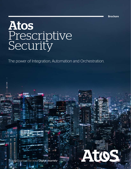Brochure

ATTO

# Atos Prescriptive **Security**

The power of Integration, Automation and Orchestration.

Trusted partner for your **Digital Journey**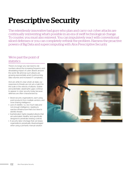# Prescriptive Security

The relentlessly innovative bad guys who plan and carry out cyber attacks are continually reinventing what's possible in an era of swift technological change. To counter, you must also reinvent. You can impulsively react with conventional siloed defenses or you can completely rethink the problem. Harness the proactive powers of Big Data and supercomputing with Atos Prescriptive Security.

#### We're past the point of statistics

There's no longer any real need to cite numbers about the increasing frequency and devastating impact of cyber attacks around the world. We all know such attacks are growing exponentially amid mushrooming data volumes and increased IT complexity.

And yet, while it's clear what's at stake, our responses to threats are not yet a match for the scale or the velocity of attacks. Sizable and potentially catastrophic gaps continue to appear in cyber security today because defenses are often characterized by:

- Siloed security organizations, each using point products from multiple vendors, and none sharing intelligence
- Lack of visibility—i.e., too much data and not enough intelligence—leading to reactive infrastructure that's too slow to identify threats
- Sophisticated, highly targeted attacks that are automated, stealthy, and specifically designed to penetrate existing controls
- A security labor shortage that can keeps organizations perpetually disadvantaged when using a primarily manual solution

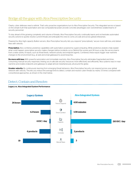# Bridge all the gaps with Atos Prescriptive Security

Clearly, cyber defenses need a rethink. That's why proactive organizations turn to Atos Prescriptive Security. This integrated service is based on the simple truth that automation and raw computational power provide concrete advantages over overwhelmed, isolated teams of security personnel.

To stay ahead of the growing complexity and volume of threats, Atos Prescriptive Security continually learns and orchestrates automated security actions to quickly resolve current threats and anticipate the ones to come, at scale and across global enterprises.

Powered by Atos high-capacity Bullion servers, Atos Prescriptive Security lets you respond "prescriptively," secure more with less, and deliver fixes with velocity.

Prescriptive: Atos combines predictive capabilities with automation powered by supercomputing. While predictive analytics help explain what could happen, prescriptive security makes changes before incidents occur. Behind the scenes and 24 hours a day, the service learns from a wide variety of inputs, such as threat feeds, network activity and endpoint agents. Combined, these inputs trigger near real-time changes to the environment (e.g., at web and email gateways) to avoid breaches.

Do more with less: With powerful automation and immediate reactivity, Atos Prescriptive Security eliminates fragmented and timeconsuming manual security responses, freeing you to allocate security resources more effectively and efficiently. Atos systems react in near real-time and enable endpoints and gateways to adapt almost instantaneously, all around the globe.

Greater velocity: By continuously learning from emerging threat behaviors, Atos Prescriptive Security can respond across your global network with velocity. This lets you reduce the average time to detect, contain and resolve cyber threats by nearly 3.5 times compared with conventional approaches, as shown in the chart below.

#### Detect, Contain and Resolve:



#### Legacy vs. Atos Integrated System Performance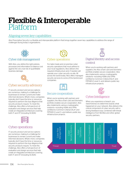# Flexible & Interoperable Platform

# Aligning seven key capabilities

Atos Prescriptive Security is a flexible and interoperable platform that brings together seven key capabilities to address the range of challenges facing today's organizations.



#### Cyber risk management

With Atos, you define the right policies, processes and information to balance cost against the very real risk of quantifiable business damage.



### Cyber security advisory

IT security product and service options are numerous, making it a challenge for businesses to remain current and make informed decisions. What's more, companies typically don't have the time or resources required to perform the due diligence that security products require. To meet this challenge, Atos offers a full spectrum of evaluation and design services that help create an integrated architecture covering both IT and OT (including SCADA).



### Cyber operations

IT security product and service options are numerous, making it a challenge for businesses to remain current and make informed decisions. What's more, companies typically don't have the time or resources required to perform the due diligence that security products require. To meet this challenge, Atos offers a full spectrum of evaluation and design services that help create an integrated architecture covering both IT and OT (including SCADA).

# Cyber operations

For tailor-made and on-premise cyber security operations that must adhere to your local regulations, Atos delivers the required infrastructure and, if needed, will operate your cyber security on-site. All across the world today, Atos offers managed security services to some of the best-known companies.



#### Secure cooperation

When you're working with partners and suppliers, the Atos smart card and biometric portfolio enables secure cooperation. Atos also implements various cryptographic solutions—including HSMs and VPNs certified to Common Criteria EAL4+ and FIPS140-2 Level 3—and delivers public key infrastructure projects.



#### Digital Identity and access control

When you're working with partners and suppliers, the Atos smart card and biometric portfolio enables secure cooperation. Atos also implements various cryptographic solutions—including HSMs and VPNs certified to Common Criteria EAL4+ and FIPS140-2 Level 3—and delivers public key infrastructure projects.



### Cyber Intelligence

When you experience a breach, you need forensics to determine exactly what happened on your network. Atos delivers this critical component of cyber security with a strong feedback loop, combined with threat intelligence from McAfee and other global security partners.

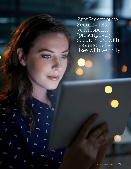Atos Prescriptive Security lets you respond "prescriptively," secure more with less, and deliver fixes with velocity.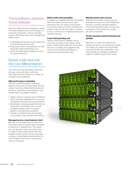# The backbone: advance threat defense

Atos Prescriptive Security integrates a variety of industry-leading security technologies for improved cloud-ready controls, including security information and event management (SIEM), which:

- Consolidates threat sources and responses to help eliminate security silos
- Progressively learns new behaviors to help eradicate threats before they occur
- Shares the latest threat intelligence across the global enterprise

## Speed, scale and cost: the core differentiators

Your cyber security will achieve new levels of power and performance with Atos Prescriptive Security, thanks to a unique set of features and capabilities.

#### High-performance computing

The Atos mainframe-grade computing platform that drives our Prescriptive Security solution has been independently tested and proven as one of the most powerful on the market today. The platform delivers:

- Unique memory capacity (up to 24 TB) that offers unrivaled capabilities for in-memory computing, event processing and analytics
- Remarkable computing power that lets you make sense of and take action on vast quantities of data, perform complex analytics, and automate workflows
- Complex correlation rules and resulting actions that can be executed with velocity

#### Managed service, cloud-hosted or both

Because no two enterprises are alike, Atos Prescriptive Security has the built-in flexibility to meet any IT requirements. This means you can operate onsite, host in the cloud, or create a hybrid solution that offers the benefits of both worlds. And you can easily configure a cloud-based implementation to meet variable requirements, scaling up or down as necessary.

#### Multi-vendor interoperability

In addition to integrated McAfee functionality, Atos Prescriptive Security has an open framework that can support multi-vendor environments with a common architecture/ solution. Vital security information is shared across a common bus, enabling learning and real-time reactivity.

#### Lower total operating cost

Superior performance, reliability and an only-what-you-need consumption model (when cloud-hosted) make Atos Prescriptive Security a complete and budget-friendly cyber security solution that delivers a superior price/performance ratio.

#### Big Data meets cyber security

Only Atos Prescriptive Security lets you leverage the scope and reach of Big Data through a centrally managed platform that incorporates third-party security and compliance investments into a single pervasive ecosystem.

#### Threat resolutions shared instantly and globally

With Atos, you share the latest threat intelligence across your enterprise instantly. This means you respond to new threats more proactively and consistently—even when threats are identified on different systems in different parts of the world.

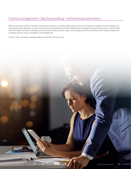### Central management + Big Data profiling + self-learning automation

With the growing number of devices connected to networks, mounting data volumes and the increasing complexity of cyber attacks, you need a big-picture approach to cyber security, with new thinking and newly integrated technologies. By prescribing action in machine time, Atos Prescriptive Security is nothing short of a transformative service. It gives you a deeper and more proactive way to deliver trusted and consistent service, ensure compliance and mitigate risk.

Today's cyber criminals constantly adapt and reinvent. Shouldn't you?